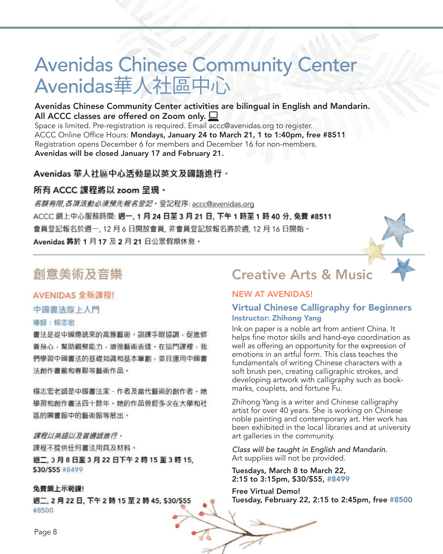# Avenidas Chinese Community Center Avenidas華人社區中心

## Avenidas Chinese Community Center activities are bilingual in English and Mandarin. All ACCC classes are offered on Zoom only.  $\Box$

Space is limited. Pre-registration is required. Email accc@avenidas.org to register. ACCC Online Office Hours: Mondays, January 24 to March 21, 1 to 1:40pm, free #8511 Registration opens December 6 for members and December 16 for non-members. Avenidas will be closed January 17 and February 21.

#### Avenidas 華人社區中心活動是以英文及國語 Avenius キハ任區 T 心石*到*。

## 所有 ACCC 課程將以 zoom 呈現。<br>*各額有限 各項活動必須預先報名登記*:登記程序: accc@avenidas.org  $A_{11}$ <sub>2</sub>, 1933,  $M_{12}$   $M_{23}$   $M_{24}$   $M_{25}$   $M_{25}$   $M_{25}$   $M_{25}$   $M_{25}$   $M_{25}$

名顏有限, 各項活動必須預先報名登記 · 登記程序: accc@avenidas.org ACCC 網上中心服務時間: 週一, 1 月 24 日至 3 月 21 日, 下午 1 時至 1 時 40 分, 免費 #8511 會員登記報名於週一, 12 月 6 日開放會員, 非會員登記放報名將於週, 12 月 16 日開始・ Avenidas 將於 1 月 17 及 2 月 21 日公眾假期休息。

## 創意美術及音樂

#### AVENIDAS 全新課程!

中國書法線上入門

#### 導師:楊志宏

書法是從中國傳統來的高雅藝術·訓練手眼協調,促進修 養身心,幫助觀察能力,增強藝術表達。在這門課裡,我 們學習中國書法的基礎知識和基本筆劃,並且運用中國書 法創作書籤和春聯等藝術作品。

楊志宏老師是中國書法家、作者及當代藝術的創作者・她 學習和創作書法四十餘年。她的作品曾經多次在大學和社 區的圖書館中的藝術館等展出。

#### 課程以英語以及普通話進行。

課程不提供任何書法用具及材料。 週二, 3 月 8 日至 3 月 22 日下午 2 時 15 至 3 時 15, \$30/\$55 #8499

#### 免費網上示範課!

週二, 2月22日, 下午2時15至2時45, \$30/\$55 #8500

# Creative Arts & Music

#### NEW AT AVENIDAS!

## Virtual Chinese Calligraphy for Beginners Instructor: Zhihong Yang

Ink on paper is a noble art from antient China. It helps fine motor skills and hand-eye coordination as well as offering an opportunity for the expression of emotions in an artful form. This class teaches the fundamentals of writing Chinese characters with a soft brush pen, creating calligraphic strokes, and developing artwork with calligraphy such as bookmarks, couplets, and fortune Fu.

Zhihong Yang is a writer and Chinese calligraphy artist for over 40 years. She is working on Chinese noble painting and contemporary art. Her work has been exhibited in the local libraries and at university art galleries in the community.

Class will be taught in English and Mandarin. Art supplies will not be provided.

Tuesdays, March 8 to March 22, 2:15 to 3:15pm, \$30/\$55, #8499

Free Virtual Demo! Tuesday, February 22, 2:15 to 2:45pm, free #8500

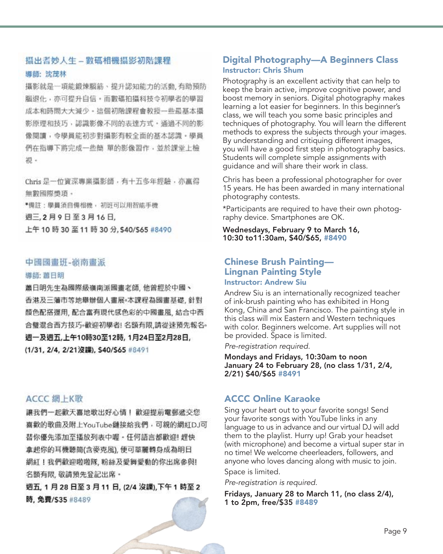#### 攝出耆妙人生 - 數碼相機攝影初階課程

#### 導師: 沈茂林

攝影就是一項能鍛煉腦筋、提升認知能力的活動, 有助預防 腦退化,亦可提升自信,而數碼拍攝科技令初學者的學習 成本和時間大大減少。這個初階課程會教授一些最基本攝 影原理和技巧,認識影像不同的表達方式,通過不同的影 像閱讀, 今學員能初步對攝影有較全面的基本認識, 學員 們在指導下將完成一些簡 單的影像習作,並於課堂上檢 视 -

Chris 是一位資深專業攝影師,有十五多年經驗,亦贏得 無數國際獎項。

\*備註:學員須自備相機, 初班可以用智能手機

週三,2月9日至3月16日,

上午 10 時 30 至 11 時 30 分, \$40/\$65 #8490

#### 中國國畫班-嶺南畫派

#### 導師: 蕭日明

蕭日明先生為國際級嶺南派國畫老師, 他曾經於中國、 香港及三藩市等地舉辦個人畫展。本課程為國畫基礎, 針對 顏色配搭運用, 配合富有現代感色彩的中國畫風, 結合中西 合璧混合西方技巧。歡迎初學者! 名額有限,請從速預先報名。 週一及週五,上午10時30至12時, 1月24日至2月28日, (1/31, 2/4, 2/21沒課), \$40/\$65 #8491

## ACCC 網 上K歌

讓我們一起歡天喜地歌出好心情! 歡迎提前電郵遞交您 喜歡的歌曲及附上YouTube鏈接給我們,可親的網紅DJ可 替你優先添加至播放列表中喔 - 任何語言都歡迎! 趕快 拿起你的耳機聽筒(含麥克風), 便可華麗轉身成為明日 網紅!我們歡迎啦啦隊,粉絲及愛舞愛動的你出席參與! 名額有限, 敬請預先登記出席。

週五, 1月28日至3月11日, (2/4 沒課),下午1時至2 時,免費/S35 #8489

## Digital Photography—A Beginners Class Instructor: Chris Shum

Photography is an excellent activity that can help to keep the brain active, improve cognitive power, and boost memory in seniors. Digital photography makes learning a lot easier for beginners. In this beginner's class, we will teach you some basic principles and techniques of photography. You will learn the different methods to express the subjects through your images. By understanding and critiquing different images, you will have a good first step in photography basics. Students will complete simple assignments with guidance and will share their work in class.

Chris has been a professional photographer for over 15 years. He has been awarded in many international photography contests.

\*Participants are required to have their own photography device. Smartphones are OK.

Wednesdays, February 9 to March 16, 10:30 to11:30am, \$40/\$65, #8490

## Chinese Brush Painting— Lingnan Painting Style Instructor: Andrew Siu

Andrew Siu is an internationally recognized teacher of ink-brush painting who has exhibited in Hong Kong, China and San Francisco. The painting style in this class will mix Eastern and Western techniques with color. Beginners welcome. Art supplies will not be provided. Space is limited.

Pre-registration required.

Mondays and Fridays, 10:30am to noon January 24 to February 28, (no class 1/31, 2/4, 2/21) \$40/\$65 #8491

## ACCC Online Karaoke

Sing your heart out to your favorite songs! Send your favorite songs with YouTube links in any language to us in advance and our virtual DJ will add them to the playlist. Hurry up! Grab your headset (with microphone) and become a virtual super star in no time! We welcome cheerleaders, followers, and anyone who loves dancing along with music to join.

Space is limited.

Pre-registration is required.

Fridays, January 28 to March 11, (no class 2/4), 1 to 2pm, free/\$35 #8489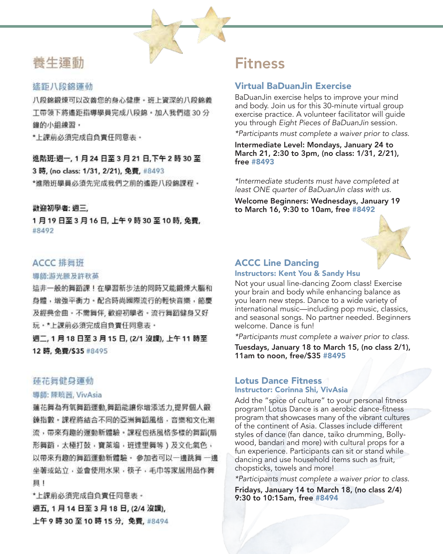

## 養牛運動

## 遙距八段錦運動

八段錦鍛煉可以改善您的身心健康·班上資深的八段錦義 工帶領下將遙距指導學員完成八段錦·加入我們這 30分 鐘的小組練習,

\*上課前必須完成自負責任同意表。

## 進階班:週一, 1月24日至3月21日,下午2時30至

3 時, (no class: 1/31, 2/21), 免費, #8493

\*谁階班學員必須先完成我們之前的遙距八段錦課程。

## 散迎初學者: 週三.

1月19日至3月16日,上午9時30至10時,免費, #8492

## ACCC 排舞班

#### 導師:游光騰及許秋英

這非一般的舞蹈課!在學習新步法的同時又能鍛煉大腦和 身體,增強平衡力。配合時尚國際流行的輕快音樂,節慶 及經典金曲 - 不需舞伴, 歡迎初學者 - 流行舞蹈健身又好 玩·\*上課前必須完成自負責任同意表·

週二, 1 月 18 日至 3 月 15 日, (2/1 沒課), 上午 11 時至 12 時. 免費/\$35 #8495

## 蓮花舞健身運動

Page 10

#### 導師: 陳曉茜, VivAsia

蓮花舞為有氧舞蹈運動,舞蹈能讓你增添活力,提昇個人鍛 鍊指數 • 課程將結合不同的亞洲舞蹈風格 • 音樂和文化潮 流,帶來有趣的運動新體驗。課程包括風格多樣的舞蹈(扇 形舞蹈,太極打鼓,寶萊塢,班達里舞等)及文化氣色, 以帶來有趣的舞蹈運動新體驗,參加者可以一邊跳舞 一邊 坐著或站立,並會使用水果,筷子,毛巾等家居用品作舞 且!

\*上課前必須完成自負責任同意表。 週五, 1 月 14 日至 3 月 18 日, (2/4 沒課), 上午9時30至10時15分,免費,#8494

# Fitness

## Virtual BaDuanJin Exercise

BaDuanJin exercise helps to improve your mind and body. Join us for this 30-minute virtual group exercise practice. A volunteer facilitator will guide you through Eight Pieces of BaDuanJin session.

\*Participants must complete a waiver prior to class.

Intermediate Level: Mondays, January 24 to March 21, 2:30 to 3pm, (no class: 1/31, 2/21), free #8493

\*Intermediate students must have completed at least ONE quarter of BaDuanJin class with us.

Welcome Beginners: Wednesdays, January 19 to March 16, 9:30 to 10am, free #8492



#### ACCC Line Dancing Instructors: Kent You & Sandy Hsu

Not your usual line-dancing Zoom class! Exercise your brain and body while enhancing balance as you learn new steps. Dance to a wide variety of international music—including pop music, classics, and seasonal songs. No partner needed. Beginners welcome. Dance is fun!

\*Participants must complete a waiver prior to class. Tuesdays, January 18 to March 15, (no class 2/1), 11am to noon, free/\$35 #8495

#### Lotus Dance Fitness Instructor: Corinna Shi, VivAsia

Add the "spice of culture" to your personal fitness program! Lotus Dance is an aerobic dance-fitness program that showcases many of the vibrant cultures of the continent of Asia. Classes include different styles of dance (fan dance, taiko drumming, Bollywood, bandari and more) with cultural props for a fun experience. Participants can sit or stand while dancing and use household items such as fruit, chopsticks, towels and more!

\*Participants must complete a waiver prior to class.

Fridays, January 14 to March 18, (no class 2/4) 9:30 to 10:15am, free #8494